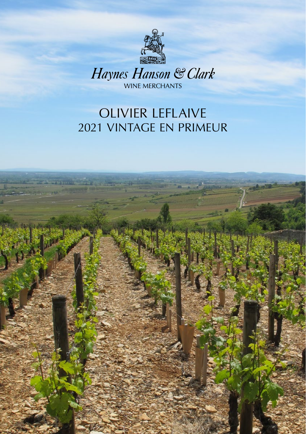

Haynes Hanson & Clark

# OLIVIER LEFLAIVE 2021 VINTAGE EN PRIMEUR

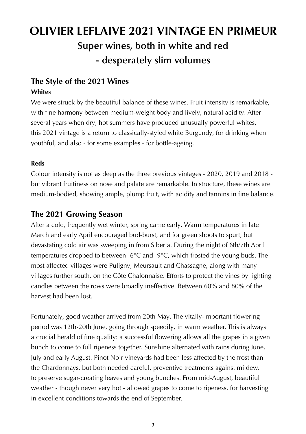# **Super wines, both in white and red - desperately slim volumes OLIVIER LEFLAIVE 2021 VINTAGE EN PRIMEUR**

#### **The Style of the 2021 Wines Whites**

We were struck by the beautiful balance of these wines. Fruit intensity is remarkable, with fine harmony between medium-weight body and lively, natural acidity. After several years when dry, hot summers have produced unusually powerful whites, this 2021 vintage is a return to classically-styled white Burgundy, for drinking when youthful, and also - for some examples - for bottle-ageing.

#### **Reds**

Colour intensity is not as deep as the three previous vintages - 2020, 2019 and 2018 but vibrant fruitiness on nose and palate are remarkable. In structure, these wines are medium-bodied, showing ample, plump fruit, with acidity and tannins in fine balance.

#### **The 2021 Growing Season**

After a cold, frequently wet winter, spring came early. Warm temperatures in late March and early April encouraged bud-burst, and for green shoots to spurt, but devastating cold air was sweeping in from Siberia. During the night of 6th/7th April temperatures dropped to between -6°C and -9°C, which frosted the young buds. The most affected villages were Puligny, Meursault and Chassagne, along with many villages further south, on the Côte Chalonnaise. Efforts to protect the vines by lighting candles between the rows were broadly ineffective. Between 60% and 80% of the harvest had been lost.

Fortunately, good weather arrived from 20th May. The vitally-important flowering period was 12th-20th June, going through speedily, in warm weather. This is always a crucial herald of fine quality: a successful flowering allows all the grapes in a given bunch to come to full ripeness together. Sunshine alternated with rains during June, July and early August. Pinot Noir vineyards had been less affected by the frost than the Chardonnays, but both needed careful, preventive treatments against mildew, to preserve sugar-creating leaves and young bunches. From mid-August, beautiful weather - though never very hot - allowed grapes to come to ripeness, for harvesting in excellent conditions towards the end of September.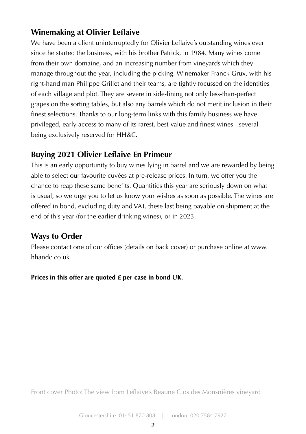### **Winemaking at Olivier Leflaive**

We have been a client uninterruptedly for Olivier Leflaive's outstanding wines ever since he started the business, with his brother Patrick, in 1984. Many wines come from their own domaine, and an increasing number from vineyards which they manage throughout the year, including the picking. Winemaker Franck Grux, with his right-hand man Philippe Grillet and their teams, are tightly focussed on the identities of each village and plot. They are severe in side-lining not only less-than-perfect grapes on the sorting tables, but also any barrels which do not merit inclusion in their finest selections. Thanks to our long-term links with this family business we have privileged, early access to many of its rarest, best-value and finest wines - several being exclusively reserved for HH&C.

#### **Buying 2021 Olivier Leflaive En Primeur**

This is an early opportunity to buy wines lying in barrel and we are rewarded by being able to select our favourite cuvées at pre-release prices. In turn, we offer you the chance to reap these same benefits. Quantities this year are seriously down on what is usual, so we urge you to let us know your wishes as soon as possible. The wines are offered in bond, excluding duty and VAT, these last being payable on shipment at the end of this year (for the earlier drinking wines), or in 2023.

#### **Ways to Order**

Please contact one of our offices (details on back cover) or purchase online at www. hhandc.co.uk

**Prices in this offer are quoted £ per case in bond UK.**

Front cover Photo: The view from Leflaive's Beaune Clos des Monsnières vineyard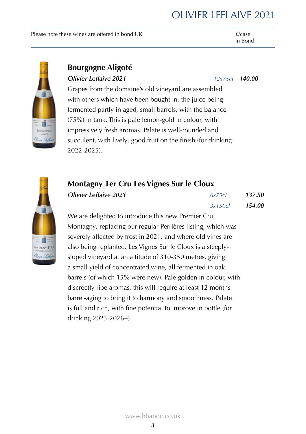Please note these wines are offered in bond UK  $f/case$ 

### In Bond

### **Bourgogne Aligoté**

#### *Olivier Leflaive 2021 12x75cl 140.00*

Grapes from the domaine's old vineyard are assembled with others which have been bought in, the juice being fermented partly in aged, small barrels, with the balance (75%) in tank. This is pale lemon-gold in colour, with impressively fresh aromas. Palate is well-rounded and succulent, with lively, good fruit on the finish (for drinking 2022-2025).

#### **Montagny 1er Cru Les Vignes Sur le Cloux**

| Olivier Leflaive 2021 | 6x75c  | 137.50 |
|-----------------------|--------|--------|
|                       | 3x150c | 154.00 |

We are delighted to introduce this new Premier Cru Montagny, replacing our regular Perrières listing, which was severely affected by frost in 2021, and where old vines are also being replanted. Les Vignes Sur le Cloux is a steeplysloped vineyard at an altitude of 310-350 metres, giving a small yield of concentrated wine, all fermented in oak barrels (of which 15% were new). Pale golden in colour, with discreetly ripe aromas, this will require at least 12 months barrel-aging to bring it to harmony and smoothness. Palate is full and rich, with fine potential to improve in bottle (for drinking 2023-2026+).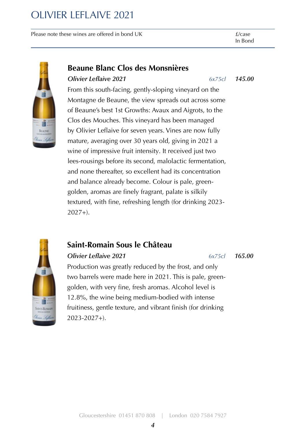Please note these wines are offered in bond UK  $f/c$ ase

In Bond



#### **Beaune Blanc Clos des Monsnières**

#### *Olivier Leflaive 2021 6x75cl 145.00*

From this south-facing, gently-sloping vineyard on the Montagne de Beaune, the view spreads out across some of Beaune's best 1st Growths: Avaux and Aigrots, to the Clos des Mouches. This vineyard has been managed by Olivier Leflaive for seven years. Vines are now fully mature, averaging over 30 years old, giving in 2021 a wine of impressive fruit intensity. It received just two lees-rousings before its second, malolactic fermentation, and none thereafter, so excellent had its concentration and balance already become. Colour is pale, greengolden, aromas are finely fragrant, palate is silkily textured, with fine, refreshing length (for drinking 2023-  $2027+1$ .

### **Saint-Romain Sous le Château**

#### *Olivier Leflaive 2021 6x75cl 165.00*

Production was greatly reduced by the frost, and only two barrels were made here in 2021. This is pale, greengolden, with very fine, fresh aromas. Alcohol level is 12.8%, the wine being medium-bodied with intense fruitiness, gentle texture, and vibrant finish (for drinking 2023-2027+).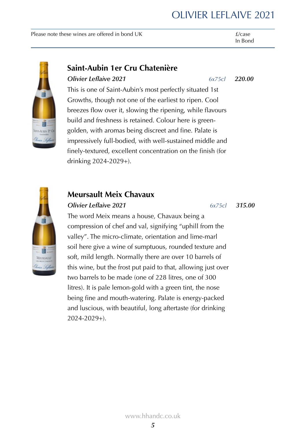Please note these wines are offered in bond UK  $f/case$ 

In Bond



#### **Saint-Aubin 1er Cru Chatenière**

#### *Olivier Leflaive 2021 6x75cl 220.00*

This is one of Saint-Aubin's most perfectly situated 1st Growths, though not one of the earliest to ripen. Cool breezes flow over it, slowing the ripening, while flavours build and freshness is retained. Colour here is greengolden, with aromas being discreet and fine. Palate is impressively full-bodied, with well-sustained middle and finely-textured, excellent concentration on the finish (for drinking 2024-2029+).



### **Meursault Meix Chavaux**

#### *Olivier Leflaive 2021 6x75cl 315.00*

The word Meix means a house, Chavaux being a compression of chef and val, signifying "uphill from the valley". The micro-climate, orientation and lime-marl soil here give a wine of sumptuous, rounded texture and soft, mild length. Normally there are over 10 barrels of this wine, but the frost put paid to that, allowing just over two barrels to be made (one of 228 litres, one of 300 litres). It is pale lemon-gold with a green tint, the nose being fine and mouth-watering. Palate is energy-packed and luscious, with beautiful, long aftertaste (for drinking 2024-2029+).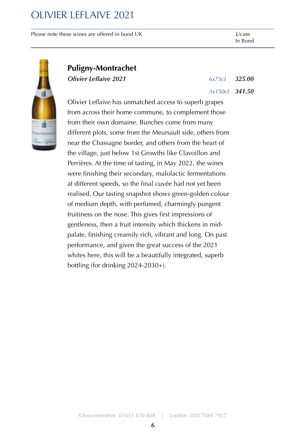Please note these wines are offered in bond UK  $f/c$ ase



#### **Puligny-Montrachet**

*Olivier Leflaive 2021 6x75cl 325.00*

*3x150cl 341.50*

Olivier Leflaive has unmatched access to superb grapes from across their home commune, to complement those from their own domaine. Bunches come from many different plots, some from the Meursault side, others from near the Chassagne border, and others from the heart of the village, just below 1st Growths like Clavoillon and Perrières. At the time of tasting, in May 2022, the wines were finishing their secondary, malolactic fermentations at different speeds, so the final cuvée had not yet been realised. Our tasting snapshot shows green-golden colour of medium depth, with perfumed, charmingly pungent fruitiness on the nose. This gives first impressions of gentleness, then a fruit intensity which thickens in midpalate, finishing creamily rich, vibrant and long. On past performance, and given the great success of the 2021 whites here, this will be a beautifully integrated, superb bottling (for drinking 2024-2030+).

Gloucestershire 01451 870 808 | London 020 7584 7927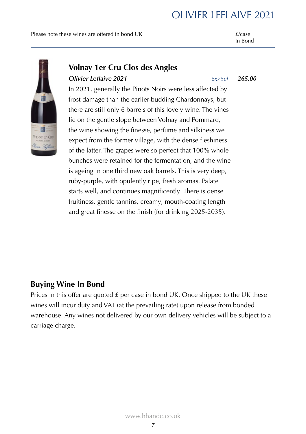Please note these wines are offered in bond UK  $f/case$ 

In Bond



#### **Volnay 1er Cru Clos des Angles**

#### *Olivier Leflaive 2021 6x75cl 265.00*

In 2021, generally the Pinots Noirs were less affected by frost damage than the earlier-budding Chardonnays, but there are still only 6 barrels of this lovely wine. The vines lie on the gentle slope between Volnay and Pommard, the wine showing the finesse, perfume and silkiness we expect from the former village, with the dense fleshiness of the latter. The grapes were so perfect that 100% whole bunches were retained for the fermentation, and the wine is ageing in one third new oak barrels. This is very deep, ruby-purple, with opulently ripe, fresh aromas. Palate starts well, and continues magnificently. There is dense fruitiness, gentle tannins, creamy, mouth-coating length and great finesse on the finish (for drinking 2025-2035).

#### **Buying Wine In Bond**

Prices in this offer are quoted  $\pounds$  per case in bond UK. Once shipped to the UK these wines will incur duty and VAT (at the prevailing rate) upon release from bonded warehouse. Any wines not delivered by our own delivery vehicles will be subject to a carriage charge.